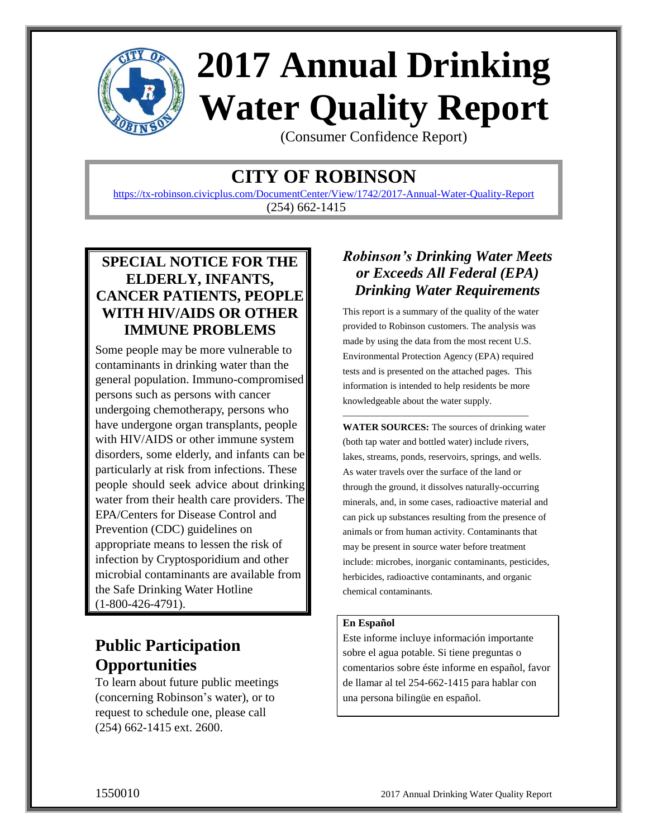

# **2017 Annual Drinking Water Quality Report**

(Consumer Confidence Report)

# **CITY OF ROBINSON**

<https://tx-robinson.civicplus.com/DocumentCenter/View/1742/2017-Annual-Water-Quality-Report> (254) 662-1415

### **SPECIAL NOTICE FOR THE ELDERLY, INFANTS, CANCER PATIENTS, PEOPLE WITH HIV/AIDS OR OTHER IMMUNE PROBLEMS**

Some people may be more vulnerable to contaminants in drinking water than the general population. Immuno-compromised persons such as persons with cancer undergoing chemotherapy, persons who have undergone organ transplants, people with HIV/AIDS or other immune system disorders, some elderly, and infants can be particularly at risk from infections. These people should seek advice about drinking water from their health care providers. The EPA/Centers for Disease Control and Prevention (CDC) guidelines on appropriate means to lessen the risk of infection by Cryptosporidium and other microbial contaminants are available from the Safe Drinking Water Hotline (1-800-426-4791).

# **Public Participation Opportunities**

To learn about future public meetings (concerning Robinson's water), or to request to schedule one, please call (254) 662-1415 ext. 2600.

## *Robinson's Drinking Water Meets or Exceeds All Federal (EPA) Drinking Water Requirements*

This report is a summary of the quality of the water provided to Robinson customers. The analysis was made by using the data from the most recent U.S. Environmental Protection Agency (EPA) required tests and is presented on the attached pages. This information is intended to help residents be more knowledgeable about the water supply.

\_\_\_\_\_\_\_\_\_\_\_\_\_\_\_\_\_\_\_\_\_\_\_\_\_\_\_\_\_\_\_\_\_\_\_\_\_\_\_

**WATER SOURCES:** The sources of drinking water (both tap water and bottled water) include rivers, lakes, streams, ponds, reservoirs, springs, and wells. As water travels over the surface of the land or through the ground, it dissolves naturally-occurring minerals, and, in some cases, radioactive material and can pick up substances resulting from the presence of animals or from human activity. Contaminants that may be present in source water before treatment include: microbes, inorganic contaminants, pesticides, herbicides, radioactive contaminants, and organic chemical contaminants.

#### **En Español**

Este informe incluye información importante sobre el agua potable. Si tiene preguntas o comentarios sobre éste informe en español, favor de llamar al tel 254-662-1415 para hablar con una persona bilingüe en español.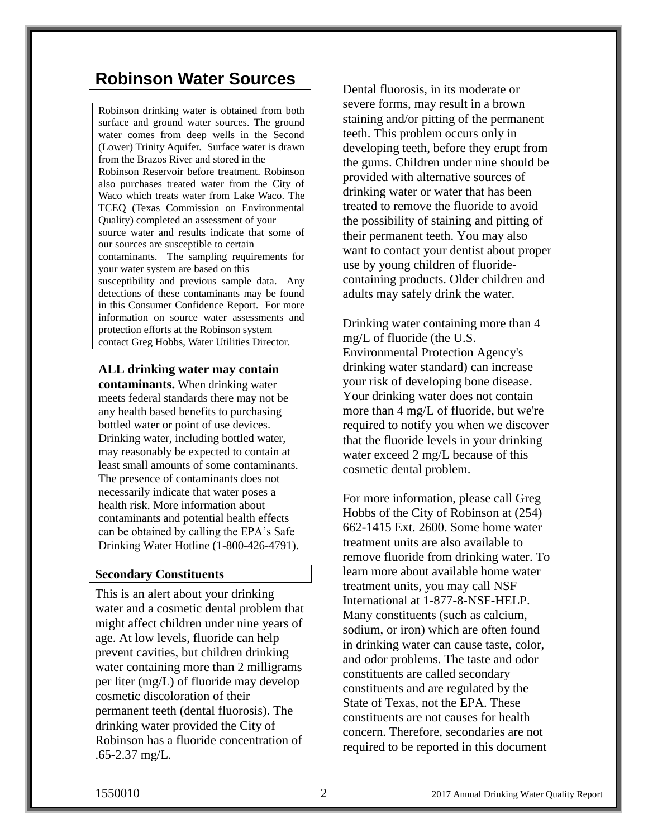## **Robinson Water Sources**

Robinson drinking water is obtained from both surface and ground water sources. The ground water comes from deep wells in the Second (Lower) Trinity Aquifer. Surface water is drawn from the Brazos River and stored in the Robinson Reservoir before treatment. Robinson also purchases treated water from the City of Waco which treats water from Lake Waco. The TCEQ (Texas Commission on Environmental Quality) completed an assessment of your source water and results indicate that some of our sources are susceptible to certain contaminants. The sampling requirements for your water system are based on this susceptibility and previous sample data. Any detections of these contaminants may be found in this Consumer Confidence Report. For more information on source water assessments and protection efforts at the Robinson system contact Greg Hobbs, Water Utilities Director.

#### **ALL drinking water may contain**

**contaminants.** When drinking water meets federal standards there may not be any health based benefits to purchasing bottled water or point of use devices. Drinking water, including bottled water, may reasonably be expected to contain at least small amounts of some contaminants. The presence of contaminants does not necessarily indicate that water poses a health risk. More information about contaminants and potential health effects can be obtained by calling the EPA's Safe Drinking Water Hotline (1-800-426-4791).

#### **Secondary Constituents**

This is an alert about your drinking water and a cosmetic dental problem that might affect children under nine years of age. At low levels, fluoride can help prevent cavities, but children drinking water containing more than 2 milligrams per liter (mg/L) of fluoride may develop cosmetic discoloration of their permanent teeth (dental fluorosis). The drinking water provided the City of Robinson has a fluoride concentration of .65-2.37 mg/L.

Dental fluorosis, in its moderate or severe forms, may result in a brown staining and/or pitting of the permanent teeth. This problem occurs only in developing teeth, before they erupt from the gums. Children under nine should be provided with alternative sources of drinking water or water that has been treated to remove the fluoride to avoid the possibility of staining and pitting of their permanent teeth. You may also want to contact your dentist about proper use by young children of fluoridecontaining products. Older children and adults may safely drink the water.

Drinking water containing more than 4 mg/L of fluoride (the U.S. Environmental Protection Agency's drinking water standard) can increase your risk of developing bone disease. Your drinking water does not contain more than 4 mg/L of fluoride, but we're required to notify you when we discover that the fluoride levels in your drinking water exceed 2 mg/L because of this cosmetic dental problem.

For more information, please call Greg Hobbs of the City of Robinson at (254) 662-1415 Ext. 2600. Some home water treatment units are also available to remove fluoride from drinking water. To learn more about available home water treatment units, you may call NSF International at 1-877-8-NSF-HELP. Many constituents (such as calcium, sodium, or iron) which are often found in drinking water can cause taste, color, and odor problems. The taste and odor constituents are called secondary constituents and are regulated by the State of Texas, not the EPA. These constituents are not causes for health concern. Therefore, secondaries are not required to be reported in this document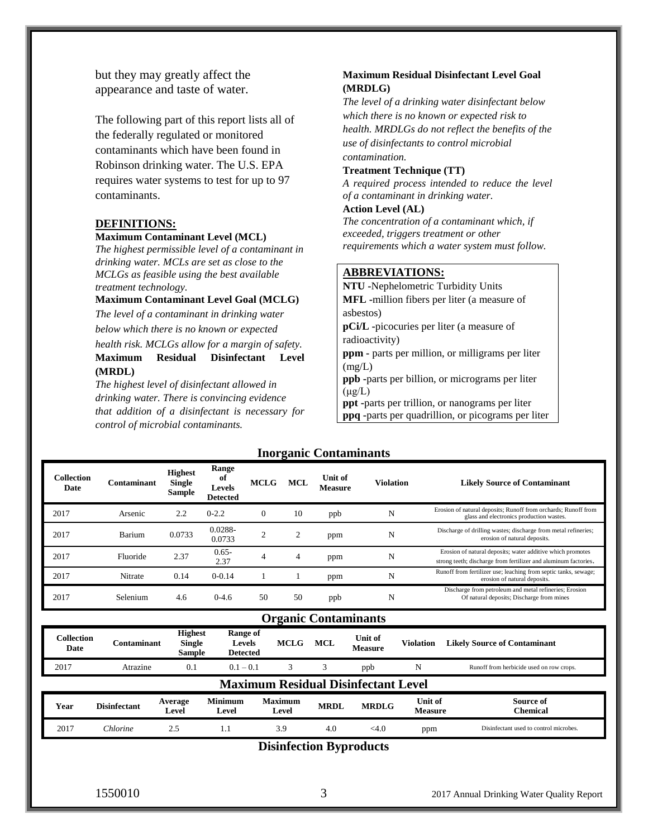but they may greatly affect the appearance and taste of water.

The following part of this report lists all of the federally regulated or monitored contaminants which have been found in Robinson drinking water. The U.S. EPA requires water systems to test for up to 97 contaminants.

#### **DEFINITIONS:**

#### **Maximum Contaminant Level (MCL)**

*The highest permissible level of a contaminant in drinking water. MCLs are set as close to the MCLGs as feasible using the best available treatment technology.* 

#### **Maximum Contaminant Level Goal (MCLG)**

*The level of a contaminant in drinking water below which there is no known or expected* 

*health risk. MCLGs allow for a margin of safety.*  **Maximum Residual Disinfectant Level (MRDL)** 

*The highest level of disinfectant allowed in drinking water. There is convincing evidence that addition of a disinfectant is necessary for control of microbial contaminants.* 

#### **Maximum Residual Disinfectant Level Goal (MRDLG)**

*The level of a drinking water disinfectant below which there is no known or expected risk to health. MRDLGs do not reflect the benefits of the use of disinfectants to control microbial contamination.* 

#### **Treatment Technique (TT)**

*A required process intended to reduce the level of a contaminant in drinking water.* 

#### **Action Level (AL)**

*The concentration of a contaminant which, if exceeded, triggers treatment or other requirements which a water system must follow.* 

#### **ABBREVIATIONS:**

**NTU -**Nephelometric Turbidity Units **MFL -**million fibers per liter (a measure of asbestos) **pCi/L -**picocuries per liter (a measure of radioactivity) **ppm -** parts per million, or milligrams per liter  $(mg/L)$ **ppb -**parts per billion, or micrograms per liter  $(\mu g/L)$ **ppt -**parts per trillion, or nanograms per liter **ppq -**parts per quadrillion, or picograms per liter

#### **Inorganic Contaminants**

| <b>Collection</b><br>Date | <b>Contaminant</b>          | <b>Highest</b><br><b>Single</b><br>Sample | Range<br>-of<br><b>Levels</b><br><b>Detected</b> | <b>MCLG</b> | <b>MCL</b>     | Unit of<br><b>Measure</b> | <b>Violation</b> | <b>Likely Source of Contaminant</b>                                                                                           |  |  |
|---------------------------|-----------------------------|-------------------------------------------|--------------------------------------------------|-------------|----------------|---------------------------|------------------|-------------------------------------------------------------------------------------------------------------------------------|--|--|
| 2017                      | Arsenic                     | 2.2                                       | $0 - 2.2$                                        | $\Omega$    | 10             | ppb                       | N                | Erosion of natural deposits; Runoff from orchards; Runoff from<br>glass and electronics production wastes.                    |  |  |
| 2017                      | Barium                      | 0.0733                                    | 0.0288-<br>0.0733                                | ↑           | $\overline{2}$ | ppm                       | N                | Discharge of drilling wastes; discharge from metal refineries;<br>erosion of natural deposits.                                |  |  |
| 2017                      | Fluoride                    | 2.37                                      | $0.65 -$<br>2.37                                 | 4           | 4              | ppm                       | N                | Erosion of natural deposits; water additive which promotes<br>strong teeth; discharge from fertilizer and aluminum factories. |  |  |
| 2017                      | Nitrate                     | 0.14                                      | $0 - 0.14$                                       |             |                | ppm                       | N                | Runoff from fertilizer use; leaching from septic tanks, sewage;<br>erosion of natural deposits.                               |  |  |
| 2017                      | Selenium                    | 4.6                                       | $0 - 4.6$                                        | 50          | 50             | ppb                       | N                | Discharge from petroleum and metal refineries; Erosion<br>Of natural deposits; Discharge from mines                           |  |  |
|                           | <b>Organic Contaminants</b> |                                           |                                                  |             |                |                           |                  |                                                                                                                               |  |  |

| Collection<br>Date | Contaminant                                | <b>Highest</b><br><b>Single</b><br><b>Sample</b> | Range of<br><b>Levels</b><br><b>Detected</b> | <b>MCLG</b>             | <b>MCL</b>  | Unit of<br><b>Measure</b> | <b>Violation</b>          | <b>Likely Source of Contaminant</b>      |  |  |  |
|--------------------|--------------------------------------------|--------------------------------------------------|----------------------------------------------|-------------------------|-------------|---------------------------|---------------------------|------------------------------------------|--|--|--|
| 2017               | Atrazine                                   | 0.1                                              | $0.1 - 0.1$                                  |                         |             | ppb                       | N                         | Runoff from herbicide used on row crops. |  |  |  |
|                    | <b>Maximum Residual Disinfectant Level</b> |                                                  |                                              |                         |             |                           |                           |                                          |  |  |  |
| Year               | <b>Disinfectant</b>                        | Average<br>Level                                 | <b>Minimum</b><br>Level                      | <b>Maximum</b><br>Level | <b>MRDL</b> | <b>MRDLG</b>              | Unit of<br><b>Measure</b> | Source of<br><b>Chemical</b>             |  |  |  |
| 2017               | Chlorine                                   | 2.5                                              | 1.1                                          | 3.9                     | 4.0         | $<$ 4.0                   | ppm                       | Disinfectant used to control microbes.   |  |  |  |

**Disinfection Byproducts**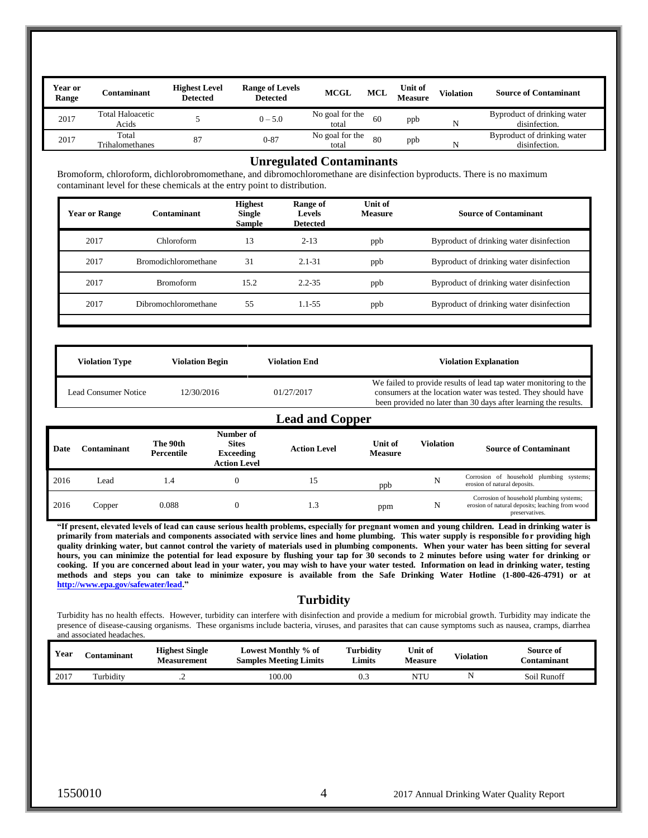| <b>Year or</b><br>Range | `ontaminant                      | <b>Highest Level</b><br><b>Detected</b> | <b>Range of Levels</b><br><b>Detected</b> | <b>MCGL</b>              | <b>MCL</b> | Unit of<br><b>Measure</b> | <b>Violation</b> | <b>Source of Contaminant</b>                 |
|-------------------------|----------------------------------|-----------------------------------------|-------------------------------------------|--------------------------|------------|---------------------------|------------------|----------------------------------------------|
| 2017                    | <b>Total Haloacetic</b><br>Acids |                                         | $0 - 5.0$                                 | No goal for the<br>total | 60         | ppb                       | N                | Byproduct of drinking water<br>disinfection. |
| 2017                    | Total<br><b>Trihalomethanes</b>  | 87                                      | $0 - 87$                                  | No goal for the<br>total | 80         | ppb                       | N                | Byproduct of drinking water<br>disinfection. |

#### **Unregulated Contaminants**

Bromoform, chloroform, dichlorobromomethane, and dibromochloromethane are disinfection byproducts. There is no maximum contaminant level for these chemicals at the entry point to distribution.

| <b>Year or Range</b> | Contaminant                 | <b>Highest</b><br>Single<br><b>Sample</b> | Range of<br>Levels<br><b>Detected</b> | Unit of<br><b>Measure</b> | <b>Source of Contaminant</b>             |
|----------------------|-----------------------------|-------------------------------------------|---------------------------------------|---------------------------|------------------------------------------|
| 2017                 | Chloroform                  | 13                                        | $2 - 13$                              | ppb                       | Byproduct of drinking water disinfection |
| 2017                 | <b>Bromodichloromethane</b> | 31                                        | $2.1 - 31$                            | ppb                       | Byproduct of drinking water disinfection |
| 2017                 | <b>Bromoform</b>            | 15.2                                      | $2.2 - 35$                            | ppb                       | Byproduct of drinking water disinfection |
| 2017                 | Dibromochloromethane        | 55                                        | $1.1 - 5.5$                           | ppb                       | Byproduct of drinking water disinfection |
|                      |                             |                                           |                                       |                           |                                          |

| <b>Violation Type</b>  | <b>Violation Begin</b> | Violation End | <b>Violation Explanation</b>                                                                                                                                                                        |  |  |  |  |
|------------------------|------------------------|---------------|-----------------------------------------------------------------------------------------------------------------------------------------------------------------------------------------------------|--|--|--|--|
| Lead Consumer Notice   | 12/30/2016             | 01/27/2017    | We failed to provide results of lead tap water monitoring to the<br>consumers at the location water was tested. They should have<br>been provided no later than 30 days after learning the results. |  |  |  |  |
| <b>Lead and Copper</b> |                        |               |                                                                                                                                                                                                     |  |  |  |  |

| Date | Contaminant | The 90th<br>Percentile | Number of<br><b>Sites</b><br><b>Exceeding</b><br><b>Action Level</b> | <b>Action Level</b> | Unit of<br><b>Measure</b> | <b>Violation</b> | <b>Source of Contaminant</b>                                                                                  |
|------|-------------|------------------------|----------------------------------------------------------------------|---------------------|---------------------------|------------------|---------------------------------------------------------------------------------------------------------------|
| 2016 | Lead        | l.4                    |                                                                      | 15                  | ppb                       |                  | Corrosion of household plumbing systems;<br>erosion of natural deposits.                                      |
| 2016 | Copper      | 0.088                  |                                                                      | 1.3                 | ppm                       | N                | Corrosion of household plumbing systems;<br>erosion of natural deposits; leaching from wood<br>preservatives. |

**"If present, elevated levels of lead can cause serious health problems, especially for pregnant women and young children. Lead in drinking water is primarily from materials and components associated with service lines and home plumbing. This water supply is responsible for providing high quality drinking water, but cannot control the variety of materials used in plumbing components. When your water has been sitting for several hours, you can minimize the potential for lead exposure by flushing your tap for 30 seconds to 2 minutes before using water for drinking or cooking. If you are concerned about lead in your water, you may wish to have your water tested. Information on lead in drinking water, testing methods and steps you can take to minimize exposure is available from the Safe Drinking Water Hotline (1-800-426-4791) or at [http://www.epa.gov/safewater/lead.](http://www.epa.gov/safewater/lead)"** 

#### **Turbidity**

Turbidity has no health effects. However, turbidity can interfere with disinfection and provide a medium for microbial growth. Turbidity may indicate the presence of disease-causing organisms. These organisms include bacteria, viruses, and parasites that can cause symptoms such as nausea, cramps, diarrhea and associated headaches.

| Year | `ontaminant | <b>Highest Single</b><br><b>Measurement</b> | Lowest Monthly % of<br><b>Samples Meeting Limits</b> | <b>Turbidity</b><br>Limits | Unit of<br><b>Measure</b> | Violation | Source of<br>:\ontaminant |
|------|-------------|---------------------------------------------|------------------------------------------------------|----------------------------|---------------------------|-----------|---------------------------|
| 2017 | Turbidity   | $\overline{\phantom{0}}$                    | 100.00                                               | ∪.J                        | NTU                       |           | Soil Runoff               |